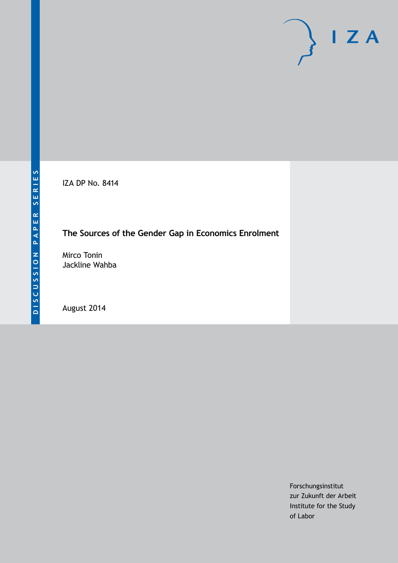IZA DP No. 8414

## **The Sources of the Gender Gap in Economics Enrolment**

Mirco Tonin Jackline Wahba

August 2014

Forschungsinstitut zur Zukunft der Arbeit Institute for the Study of Labor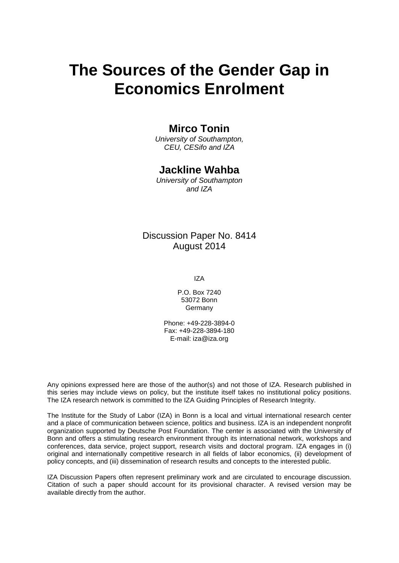# **The Sources of the Gender Gap in Economics Enrolment**

### **Mirco Tonin**

*University of Southampton, CEU, CESifo and IZA*

### **Jackline Wahba**

*University of Southampton and IZA*

### Discussion Paper No. 8414 August 2014

IZA

P.O. Box 7240 53072 Bonn **Germany** 

Phone: +49-228-3894-0 Fax: +49-228-3894-180 E-mail: [iza@iza.org](mailto:iza@iza.org)

Any opinions expressed here are those of the author(s) and not those of IZA. Research published in this series may include views on policy, but the institute itself takes no institutional policy positions. The IZA research network is committed to the IZA Guiding Principles of Research Integrity.

The Institute for the Study of Labor (IZA) in Bonn is a local and virtual international research center and a place of communication between science, politics and business. IZA is an independent nonprofit organization supported by Deutsche Post Foundation. The center is associated with the University of Bonn and offers a stimulating research environment through its international network, workshops and conferences, data service, project support, research visits and doctoral program. IZA engages in (i) original and internationally competitive research in all fields of labor economics, (ii) development of policy concepts, and (iii) dissemination of research results and concepts to the interested public.

<span id="page-1-0"></span>IZA Discussion Papers often represent preliminary work and are circulated to encourage discussion. Citation of such a paper should account for its provisional character. A revised version may be available directly from the author.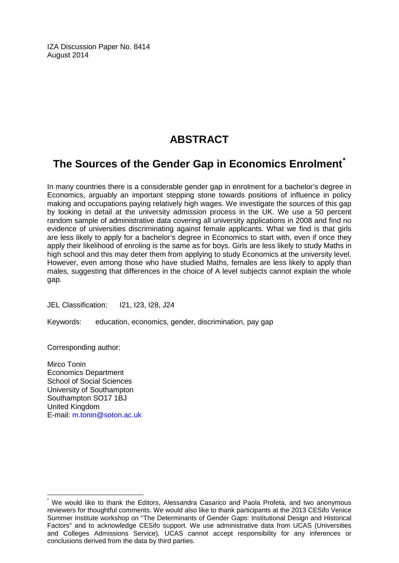IZA Discussion Paper No. 8414 August 2014

# **ABSTRACT**

# **The Sources of the Gender Gap in Economics Enrolment[\\*](#page-1-0)**

In many countries there is a considerable gender gap in enrolment for a bachelor's degree in Economics, arguably an important stepping stone towards positions of influence in policy making and occupations paying relatively high wages. We investigate the sources of this gap by looking in detail at the university admission process in the UK. We use a 50 percent random sample of administrative data covering all university applications in 2008 and find no evidence of universities discriminating against female applicants. What we find is that girls are less likely to apply for a bachelor's degree in Economics to start with, even if once they apply their likelihood of enroling is the same as for boys. Girls are less likely to study Maths in high school and this may deter them from applying to study Economics at the university level. However, even among those who have studied Maths, females are less likely to apply than males, suggesting that differences in the choice of A level subjects cannot explain the whole gap.

JEL Classification: I21, I23, I28, J24

Keywords: education, economics, gender, discrimination, pay gap

Corresponding author:

Mirco Tonin Economics Department School of Social Sciences University of Southampton Southampton SO17 1BJ United Kingdom E-mail: [m.tonin@soton.ac.uk](mailto:m.tonin@soton.ac.uk)

We would like to thank the Editors, Alessandra Casarico and Paola Profeta, and two anonymous reviewers for thoughtful comments. We would also like to thank participants at the 2013 CESifo Venice Summer Institute workshop on "The Determinants of Gender Gaps: Institutional Design and Historical Factors" and to acknowledge CESifo support. We use administrative data from UCAS (Universities and Colleges Admissions Service). UCAS cannot accept responsibility for any inferences or conclusions derived from the data by third parties.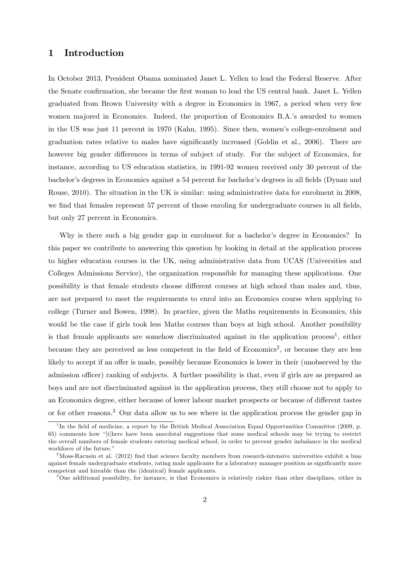#### 1 Introduction

In October 2013, President Obama nominated Janet L. Yellen to lead the Federal Reserve. After the Senate confirmation, she became the first woman to lead the US central bank. Janet L. Yellen graduated from Brown University with a degree in Economics in 1967, a period when very few women majored in Economics. Indeed, the proportion of Economics B.A.'s awarded to women in the US was just 11 percent in 1970 (Kahn, 1995). Since then, womenís college-enrolment and graduation rates relative to males have significantly increased (Goldin et al., 2006). There are however big gender differences in terms of subject of study. For the subject of Economics, for instance, according to US education statistics, in 1991-92 women received only 30 percent of the bachelor's degrees in Economics against a 54 percent for bachelor's degrees in all fields (Dynan and Rouse, 2010). The situation in the UK is similar: using administrative data for enrolment in 2008, we find that females represent 57 percent of those enroling for undergraduate courses in all fields, but only 27 percent in Economics.

Why is there such a big gender gap in enrolment for a bachelor's degree in Economics? In this paper we contribute to answering this question by looking in detail at the application process to higher education courses in the UK, using administrative data from UCAS (Universities and Colleges Admissions Service), the organization responsible for managing these applications. One possibility is that female students choose different courses at high school than males and, thus, are not prepared to meet the requirements to enrol into an Economics course when applying to college (Turner and Bowen, 1998). In practice, given the Maths requirements in Economics, this would be the case if girls took less Maths courses than boys at high school. Another possibility is that female applicants are somehow discriminated against in the application process<sup>1</sup>, either because they are perceived as less competent in the field of Economics<sup>2</sup>, or because they are less likely to accept if an offer is made, possibly because Economics is lower in their (unobserved by the admission officer) ranking of subjects. A further possibility is that, even if girls are as prepared as boys and are not discriminated against in the application process, they still choose not to apply to an Economics degree, either because of lower labour market prospects or because of different tastes or for other reasons.<sup>3</sup> Our data allow us to see where in the application process the gender gap in

<sup>&</sup>lt;sup>1</sup>In the field of medicine, a report by the British Medical Association Equal Opportunities Committee (2009, p. 65) comments how "[t]here have been anecdotal suggestions that some medical schools may be trying to restrict the overall numbers of female students entering medical school, in order to prevent gender imbalance in the medical workforce of the future."

<sup>&</sup>lt;sup>2</sup>Moss-Racusin et al. (2012) find that science faculty members from research-intensive universities exhibit a bias against female undergraduate students, rating male applicants for a laboratory manager position as significantly more competent and hireable than the (identical) female applicants.

<sup>3</sup>One additional possibility, for instance, is that Economics is relatively riskier than other disciplines, either in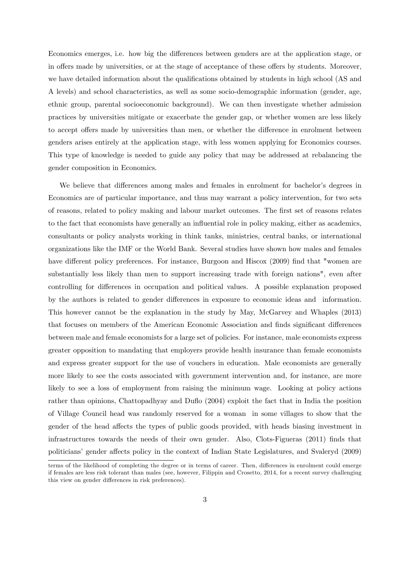Economics emerges, i.e. how big the differences between genders are at the application stage, or in offers made by universities, or at the stage of acceptance of these offers by students. Moreover, we have detailed information about the qualifications obtained by students in high school (AS and A levels) and school characteristics, as well as some socio-demographic information (gender, age, ethnic group, parental socioeconomic background). We can then investigate whether admission practices by universities mitigate or exacerbate the gender gap, or whether women are less likely to accept offers made by universities than men, or whether the difference in enrolment between genders arises entirely at the application stage, with less women applying for Economics courses. This type of knowledge is needed to guide any policy that may be addressed at rebalancing the gender composition in Economics.

We believe that differences among males and females in enrolment for bachelor's degrees in Economics are of particular importance, and thus may warrant a policy intervention, for two sets of reasons, related to policy making and labour market outcomes. The first set of reasons relates to the fact that economists have generally an ináuential role in policy making, either as academics, consultants or policy analysts working in think tanks, ministries, central banks, or international organizations like the IMF or the World Bank. Several studies have shown how males and females have different policy preferences. For instance, Burgoon and Hiscox (2009) find that "women are substantially less likely than men to support increasing trade with foreign nations", even after controlling for differences in occupation and political values. A possible explanation proposed by the authors is related to gender differences in exposure to economic ideas and information. This however cannot be the explanation in the study by May, McGarvey and Whaples (2013) that focuses on members of the American Economic Association and finds significant differences between male and female economists for a large set of policies. For instance, male economists express greater opposition to mandating that employers provide health insurance than female economists and express greater support for the use of vouchers in education. Male economists are generally more likely to see the costs associated with government intervention and, for instance, are more likely to see a loss of employment from raising the minimum wage. Looking at policy actions rather than opinions, Chattopadhyay and Duflo (2004) exploit the fact that in India the position of Village Council head was randomly reserved for a woman in some villages to show that the gender of the head affects the types of public goods provided, with heads biasing investment in infrastructures towards the needs of their own gender. Also, Clots-Figueras (2011) Önds that politicians' gender affects policy in the context of Indian State Legislatures, and Svaleryd (2009)

terms of the likelihood of completing the degree or in terms of career. Then, differences in enrolment could emerge if females are less risk tolerant than males (see, however, Filippin and Crosetto, 2014, for a recent survey challenging this view on gender differences in risk preferences).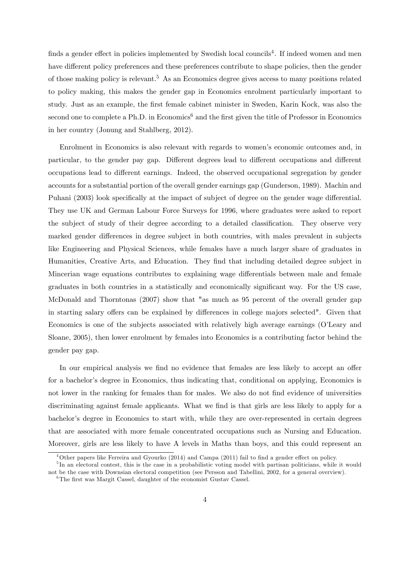finds a gender effect in policies implemented by Swedish local councils<sup>4</sup>. If indeed women and men have different policy preferences and these preferences contribute to shape policies, then the gender of those making policy is relevant.<sup>5</sup> As an Economics degree gives access to many positions related to policy making, this makes the gender gap in Economics enrolment particularly important to study. Just as an example, the Örst female cabinet minister in Sweden, Karin Kock, was also the second one to complete a Ph.D. in Economics<sup>6</sup> and the first given the title of Professor in Economics in her country (Jonung and Stahlberg, 2012).

Enrolment in Economics is also relevant with regards to women's economic outcomes and, in particular, to the gender pay gap. Different degrees lead to different occupations and different occupations lead to different earnings. Indeed, the observed occupational segregation by gender accounts for a substantial portion of the overall gender earnings gap (Gunderson, 1989). Machin and Puhani (2003) look specifically at the impact of subject of degree on the gender wage differential. They use UK and German Labour Force Surveys for 1996, where graduates were asked to report the subject of study of their degree according to a detailed classification. They observe very marked gender differences in degree subject in both countries, with males prevalent in subjects like Engineering and Physical Sciences, while females have a much larger share of graduates in Humanities, Creative Arts, and Education. They find that including detailed degree subject in Mincerian wage equations contributes to explaining wage differentials between male and female graduates in both countries in a statistically and economically significant way. For the US case, McDonald and Thorntonas (2007) show that "as much as 95 percent of the overall gender gap in starting salary offers can be explained by differences in college majors selected". Given that Economics is one of the subjects associated with relatively high average earnings (O'Leary and Sloane, 2005), then lower enrolment by females into Economics is a contributing factor behind the gender pay gap.

In our empirical analysis we find no evidence that females are less likely to accept an offer for a bachelor's degree in Economics, thus indicating that, conditional on applying, Economics is not lower in the ranking for females than for males. We also do not find evidence of universities discriminating against female applicants. What we find is that girls are less likely to apply for a bachelor's degree in Economics to start with, while they are over-represented in certain degrees that are associated with more female concentrated occupations such as Nursing and Education. Moreover, girls are less likely to have A levels in Maths than boys, and this could represent an

 $^{4}$ Other papers like Ferreira and Gyourko (2014) and Campa (2011) fail to find a gender effect on policy.

<sup>&</sup>lt;sup>5</sup>In an electoral contest, this is the case in a probabilistic voting model with partisan politicians, while it would not be the case with Downsian electoral competition (see Persson and Tabellini, 2002, for a general overview).

 ${}^{6}$ The first was Margit Cassel, daughter of the economist Gustav Cassel.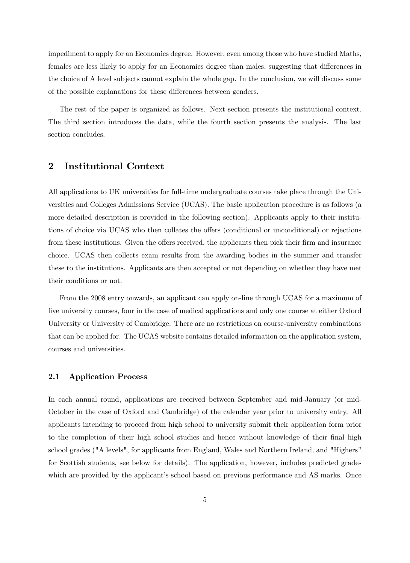impediment to apply for an Economics degree. However, even among those who have studied Maths, females are less likely to apply for an Economics degree than males, suggesting that differences in the choice of A level subjects cannot explain the whole gap. In the conclusion, we will discuss some of the possible explanations for these differences between genders.

The rest of the paper is organized as follows. Next section presents the institutional context. The third section introduces the data, while the fourth section presents the analysis. The last section concludes.

### 2 Institutional Context

All applications to UK universities for full-time undergraduate courses take place through the Universities and Colleges Admissions Service (UCAS). The basic application procedure is as follows (a more detailed description is provided in the following section). Applicants apply to their institutions of choice via UCAS who then collates the offers (conditional or unconditional) or rejections from these institutions. Given the offers received, the applicants then pick their firm and insurance choice. UCAS then collects exam results from the awarding bodies in the summer and transfer these to the institutions. Applicants are then accepted or not depending on whether they have met their conditions or not.

From the 2008 entry onwards, an applicant can apply on-line through UCAS for a maximum of five university courses, four in the case of medical applications and only one course at either Oxford University or University of Cambridge. There are no restrictions on course-university combinations that can be applied for. The UCAS website contains detailed information on the application system, courses and universities.

#### 2.1 Application Process

In each annual round, applications are received between September and mid-January (or mid-October in the case of Oxford and Cambridge) of the calendar year prior to university entry. All applicants intending to proceed from high school to university submit their application form prior to the completion of their high school studies and hence without knowledge of their final high school grades ("A levels", for applicants from England, Wales and Northern Ireland, and "Highers" for Scottish students, see below for details). The application, however, includes predicted grades which are provided by the applicant's school based on previous performance and AS marks. Once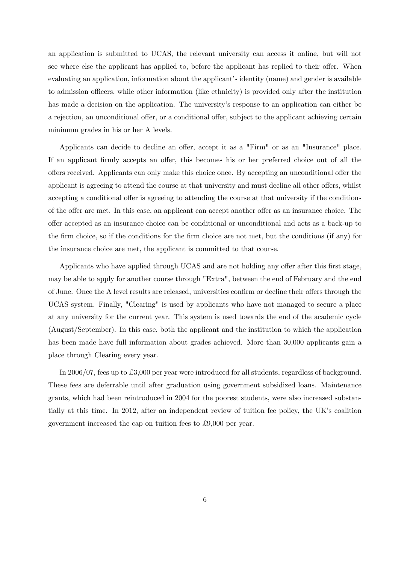an application is submitted to UCAS, the relevant university can access it online, but will not see where else the applicant has applied to, before the applicant has replied to their offer. When evaluating an application, information about the applicant's identity (name) and gender is available to admission officers, while other information (like ethnicity) is provided only after the institution has made a decision on the application. The university's response to an application can either be a rejection, an unconditional offer, or a conditional offer, subject to the applicant achieving certain minimum grades in his or her A levels.

Applicants can decide to decline an offer, accept it as a "Firm" or as an "Insurance" place. If an applicant firmly accepts an offer, this becomes his or her preferred choice out of all the offers received. Applicants can only make this choice once. By accepting an unconditional offer the applicant is agreeing to attend the course at that university and must decline all other offers, whilst accepting a conditional offer is agreeing to attending the course at that university if the conditions of the offer are met. In this case, an applicant can accept another offer as an insurance choice. The offer accepted as an insurance choice can be conditional or unconditional and acts as a back-up to the firm choice, so if the conditions for the firm choice are not met, but the conditions (if any) for the insurance choice are met, the applicant is committed to that course.

Applicants who have applied through UCAS and are not holding any offer after this first stage, may be able to apply for another course through "Extra", between the end of February and the end of June. Once the A level results are released, universities confirm or decline their offers through the UCAS system. Finally, "Clearing" is used by applicants who have not managed to secure a place at any university for the current year. This system is used towards the end of the academic cycle (August/September). In this case, both the applicant and the institution to which the application has been made have full information about grades achieved. More than 30,000 applicants gain a place through Clearing every year.

In  $2006/07$ , fees up to £3,000 per year were introduced for all students, regardless of background. These fees are deferrable until after graduation using government subsidized loans. Maintenance grants, which had been reintroduced in 2004 for the poorest students, were also increased substantially at this time. In 2012, after an independent review of tuition fee policy, the UKís coalition government increased the cap on tuition fees to  $\pounds 9,000$  per year.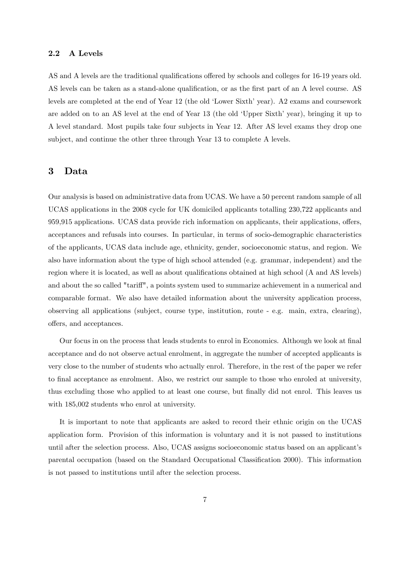#### 2.2 A Levels

AS and A levels are the traditional qualifications offered by schools and colleges for 16-19 years old. AS levels can be taken as a stand-alone qualification, or as the first part of an A level course. AS levels are completed at the end of Year 12 (the old 'Lower Sixth' year). A2 exams and coursework are added on to an AS level at the end of Year 13 (the old 'Upper Sixth' year), bringing it up to A level standard. Most pupils take four subjects in Year 12. After AS level exams they drop one subject, and continue the other three through Year 13 to complete A levels.

#### 3 Data

Our analysis is based on administrative data from UCAS. We have a 50 percent random sample of all UCAS applications in the 2008 cycle for UK domiciled applicants totalling 230,722 applicants and 959,915 applications. UCAS data provide rich information on applicants, their applications, offers, acceptances and refusals into courses. In particular, in terms of socio-demographic characteristics of the applicants, UCAS data include age, ethnicity, gender, socioeconomic status, and region. We also have information about the type of high school attended (e.g. grammar, independent) and the region where it is located, as well as about qualifications obtained at high school (A and AS levels) and about the so called "tariff", a points system used to summarize achievement in a numerical and comparable format. We also have detailed information about the university application process, observing all applications (subject, course type, institution, route - e.g. main, extra, clearing), offers, and acceptances.

Our focus in on the process that leads students to enrol in Economics. Although we look at final acceptance and do not observe actual enrolment, in aggregate the number of accepted applicants is very close to the number of students who actually enrol. Therefore, in the rest of the paper we refer to final acceptance as enrolment. Also, we restrict our sample to those who enroled at university, thus excluding those who applied to at least one course, but finally did not enrol. This leaves us with  $185,002$  students who enrol at university.

It is important to note that applicants are asked to record their ethnic origin on the UCAS application form. Provision of this information is voluntary and it is not passed to institutions until after the selection process. Also, UCAS assigns socioeconomic status based on an applicantís parental occupation (based on the Standard Occupational Classification 2000). This information is not passed to institutions until after the selection process.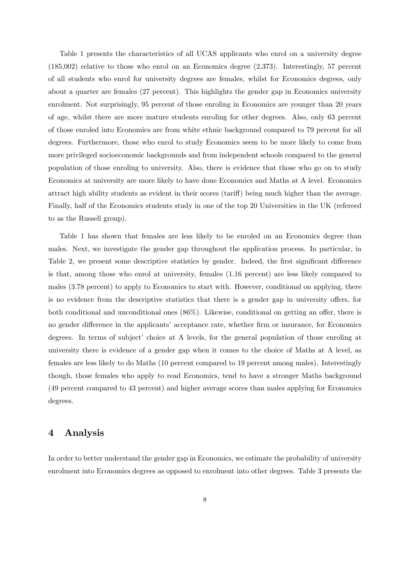Table 1 presents the characteristics of all UCAS applicants who enrol on a university degree (185,002) relative to those who enrol on an Economics degree (2,373). Interestingly, 57 percent of all students who enrol for university degrees are females, whilst for Economics degrees, only about a quarter are females (27 percent). This highlights the gender gap in Economics university enrolment. Not surprisingly, 95 percent of those enroling in Economics are younger than 20 years of age, whilst there are more mature students enroling for other degrees. Also, only 63 percent of those enroled into Economics are from white ethnic background compared to 79 percent for all degrees. Furthermore, those who enrol to study Economics seem to be more likely to come from more privileged socioeconomic backgrounds and from independent schools compared to the general population of those enroling to university. Also, there is evidence that those who go on to study Economics at university are more likely to have done Economics and Maths at A level. Economics attract high ability students as evident in their scores (tariff) being much higher than the average. Finally, half of the Economics students study in one of the top 20 Universities in the UK (refereed to as the Russell group).

Table 1 has shown that females are less likely to be enroled on an Economics degree than males. Next, we investigate the gender gap throughout the application process. In particular, in Table 2, we present some descriptive statistics by gender. Indeed, the first significant difference is that, among those who enrol at university, females (1.16 percent) are less likely compared to males (3.78 percent) to apply to Economics to start with. However, conditional on applying, there is no evidence from the descriptive statistics that there is a gender gap in university offers, for both conditional and unconditional ones  $(86\%)$ . Likewise, conditional on getting an offer, there is no gender difference in the applicants' acceptance rate, whether firm or insurance, for Economics degrees. In terms of subject' choice at A levels, for the general population of those enroling at university there is evidence of a gender gap when it comes to the choice of Maths at A level, as females are less likely to do Maths (10 percent compared to 19 percent among males). Interestingly though, those females who apply to read Economics, tend to have a stronger Maths background (49 percent compared to 43 percent) and higher average scores than males applying for Economics degrees.

#### 4 Analysis

In order to better understand the gender gap in Economics, we estimate the probability of university enrolment into Economics degrees as opposed to enrolment into other degrees. Table 3 presents the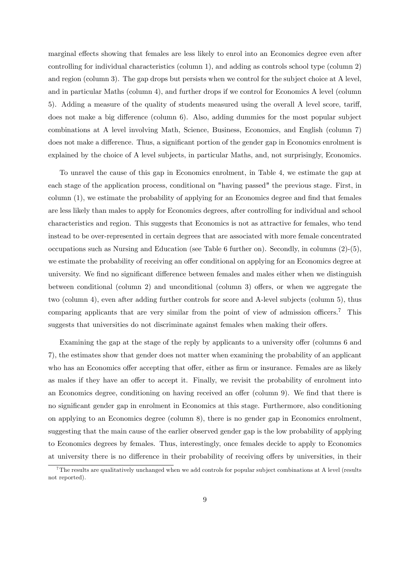marginal effects showing that females are less likely to enrol into an Economics degree even after controlling for individual characteristics (column 1), and adding as controls school type (column 2) and region (column 3). The gap drops but persists when we control for the subject choice at A level, and in particular Maths (column 4), and further drops if we control for Economics A level (column 5). Adding a measure of the quality of students measured using the overall A level score, tariff, does not make a big difference (column  $6$ ). Also, adding dummies for the most popular subject combinations at A level involving Math, Science, Business, Economics, and English (column 7) does not make a difference. Thus, a significant portion of the gender gap in Economics enrolment is explained by the choice of A level subjects, in particular Maths, and, not surprisingly, Economics.

To unravel the cause of this gap in Economics enrolment, in Table 4, we estimate the gap at each stage of the application process, conditional on "having passed" the previous stage. First, in column  $(1)$ , we estimate the probability of applying for an Economics degree and find that females are less likely than males to apply for Economics degrees, after controlling for individual and school characteristics and region. This suggests that Economics is not as attractive for females, who tend instead to be over-represented in certain degrees that are associated with more female concentrated occupations such as Nursing and Education (see Table 6 further on). Secondly, in columns (2)-(5), we estimate the probability of receiving an offer conditional on applying for an Economics degree at university. We find no significant difference between females and males either when we distinguish between conditional (column 2) and unconditional (column 3) offers, or when we aggregate the two (column 4), even after adding further controls for score and A-level subjects (column 5), thus comparing applicants that are very similar from the point of view of admission officers.<sup>7</sup> This suggests that universities do not discriminate against females when making their offers.

Examining the gap at the stage of the reply by applicants to a university offer (columns 6 and 7), the estimates show that gender does not matter when examining the probability of an applicant who has an Economics offer accepting that offer, either as firm or insurance. Females are as likely as males if they have an offer to accept it. Finally, we revisit the probability of enrolment into an Economics degree, conditioning on having received an offer (column 9). We find that there is no significant gender gap in enrolment in Economics at this stage. Furthermore, also conditioning on applying to an Economics degree (column 8), there is no gender gap in Economics enrolment, suggesting that the main cause of the earlier observed gender gap is the low probability of applying to Economics degrees by females. Thus, interestingly, once females decide to apply to Economics at university there is no difference in their probability of receiving offers by universities, in their

<sup>7</sup>The results are qualitatively unchanged when we add controls for popular subject combinations at A level (results not reported).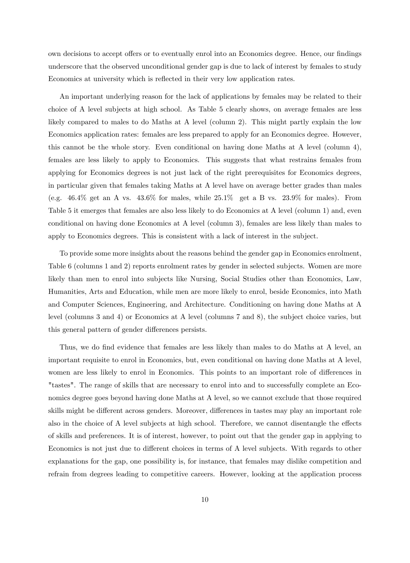own decisions to accept offers or to eventually enrol into an Economics degree. Hence, our findings underscore that the observed unconditional gender gap is due to lack of interest by females to study Economics at university which is reflected in their very low application rates.

An important underlying reason for the lack of applications by females may be related to their choice of A level subjects at high school. As Table 5 clearly shows, on average females are less likely compared to males to do Maths at A level (column 2). This might partly explain the low Economics application rates: females are less prepared to apply for an Economics degree. However, this cannot be the whole story. Even conditional on having done Maths at A level (column 4), females are less likely to apply to Economics. This suggests that what restrains females from applying for Economics degrees is not just lack of the right prerequisites for Economics degrees, in particular given that females taking Maths at A level have on average better grades than males (e.g.  $46.4\%$  get an A vs.  $43.6\%$  for males, while  $25.1\%$  get a B vs.  $23.9\%$  for males). From Table 5 it emerges that females are also less likely to do Economics at A level (column 1) and, even conditional on having done Economics at A level (column 3), females are less likely than males to apply to Economics degrees. This is consistent with a lack of interest in the subject.

To provide some more insights about the reasons behind the gender gap in Economics enrolment, Table 6 (columns 1 and 2) reports enrolment rates by gender in selected subjects. Women are more likely than men to enrol into subjects like Nursing, Social Studies other than Economics, Law, Humanities, Arts and Education, while men are more likely to enrol, beside Economics, into Math and Computer Sciences, Engineering, and Architecture. Conditioning on having done Maths at A level (columns 3 and 4) or Economics at A level (columns 7 and 8), the subject choice varies, but this general pattern of gender differences persists.

Thus, we do find evidence that females are less likely than males to do Maths at A level, an important requisite to enrol in Economics, but, even conditional on having done Maths at A level, women are less likely to enrol in Economics. This points to an important role of differences in "tastes". The range of skills that are necessary to enrol into and to successfully complete an Economics degree goes beyond having done Maths at A level, so we cannot exclude that those required skills might be different across genders. Moreover, differences in tastes may play an important role also in the choice of A level subjects at high school. Therefore, we cannot disentangle the effects of skills and preferences. It is of interest, however, to point out that the gender gap in applying to Economics is not just due to different choices in terms of A level subjects. With regards to other explanations for the gap, one possibility is, for instance, that females may dislike competition and refrain from degrees leading to competitive careers. However, looking at the application process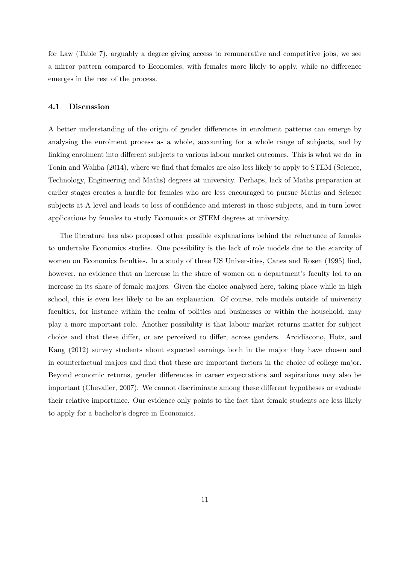for Law (Table 7), arguably a degree giving access to remunerative and competitive jobs, we see a mirror pattern compared to Economics, with females more likely to apply, while no difference emerges in the rest of the process.

#### 4.1 Discussion

A better understanding of the origin of gender differences in enrolment patterns can emerge by analysing the enrolment process as a whole, accounting for a whole range of subjects, and by linking enrolment into different subjects to various labour market outcomes. This is what we do in Tonin and Wahba (2014), where we find that females are also less likely to apply to STEM (Science, Technology, Engineering and Maths) degrees at university. Perhaps, lack of Maths preparation at earlier stages creates a hurdle for females who are less encouraged to pursue Maths and Science subjects at A level and leads to loss of confidence and interest in those subjects, and in turn lower applications by females to study Economics or STEM degrees at university.

The literature has also proposed other possible explanations behind the reluctance of females to undertake Economics studies. One possibility is the lack of role models due to the scarcity of women on Economics faculties. In a study of three US Universities, Canes and Rosen (1995) find, however, no evidence that an increase in the share of women on a department's faculty led to an increase in its share of female majors. Given the choice analysed here, taking place while in high school, this is even less likely to be an explanation. Of course, role models outside of university faculties, for instance within the realm of politics and businesses or within the household, may play a more important role. Another possibility is that labour market returns matter for subject choice and that these differ, or are perceived to differ, across genders. Arcidiacono, Hotz, and Kang (2012) survey students about expected earnings both in the major they have chosen and in counterfactual majors and find that these are important factors in the choice of college major. Beyond economic returns, gender differences in career expectations and aspirations may also be important (Chevalier, 2007). We cannot discriminate among these different hypotheses or evaluate their relative importance. Our evidence only points to the fact that female students are less likely to apply for a bachelor's degree in Economics.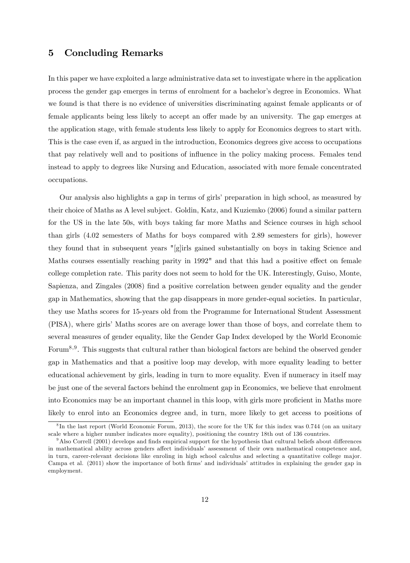### 5 Concluding Remarks

In this paper we have exploited a large administrative data set to investigate where in the application process the gender gap emerges in terms of enrolment for a bachelor's degree in Economics. What we found is that there is no evidence of universities discriminating against female applicants or of female applicants being less likely to accept an offer made by an university. The gap emerges at the application stage, with female students less likely to apply for Economics degrees to start with. This is the case even if, as argued in the introduction, Economics degrees give access to occupations that pay relatively well and to positions of ináuence in the policy making process. Females tend instead to apply to degrees like Nursing and Education, associated with more female concentrated occupations.

Our analysis also highlights a gap in terms of girls' preparation in high school, as measured by their choice of Maths as A level subject. Goldin, Katz, and Kuziemko (2006) found a similar pattern for the US in the late 50s, with boys taking far more Maths and Science courses in high school than girls (4.02 semesters of Maths for boys compared with 2.89 semesters for girls), however they found that in subsequent years "[g]irls gained substantially on boys in taking Science and Maths courses essentially reaching parity in 1992" and that this had a positive effect on female college completion rate. This parity does not seem to hold for the UK. Interestingly, Guiso, Monte, Sapienza, and Zingales (2008) Önd a positive correlation between gender equality and the gender gap in Mathematics, showing that the gap disappears in more gender-equal societies. In particular, they use Maths scores for 15-years old from the Programme for International Student Assessment (PISA), where girls' Maths scores are on average lower than those of boys, and correlate them to several measures of gender equality, like the Gender Gap Index developed by the World Economic Forum<sup>8,9</sup>. This suggests that cultural rather than biological factors are behind the observed gender gap in Mathematics and that a positive loop may develop, with more equality leading to better educational achievement by girls, leading in turn to more equality. Even if numeracy in itself may be just one of the several factors behind the enrolment gap in Economics, we believe that enrolment into Economics may be an important channel in this loop, with girls more proficient in Maths more likely to enrol into an Economics degree and, in turn, more likely to get access to positions of

<sup>&</sup>lt;sup>8</sup>In the last report (World Economic Forum, 2013), the score for the UK for this index was 0.744 (on an unitary scale where a higher number indicates more equality), positioning the country 18th out of 136 countries.

 $9$ Also Correll (2001) develops and finds empirical support for the hypothesis that cultural beliefs about differences in mathematical ability across genders affect individuals' assessment of their own mathematical competence and, in turn, career-relevant decisions like enroling in high school calculus and selecting a quantitative college major. Campa et al. (2011) show the importance of both firms' and individuals' attitudes in explaining the gender gap in employment.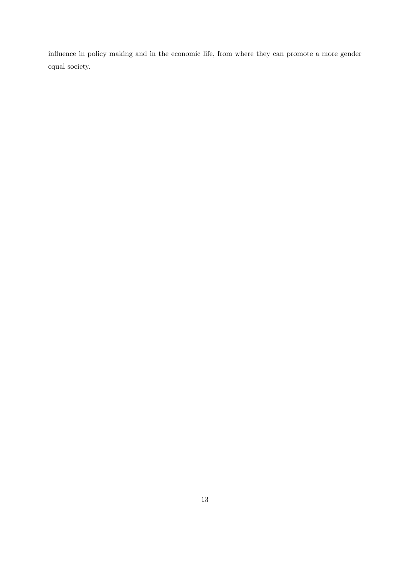influence in policy making and in the economic life, from where they can promote a more gender equal society.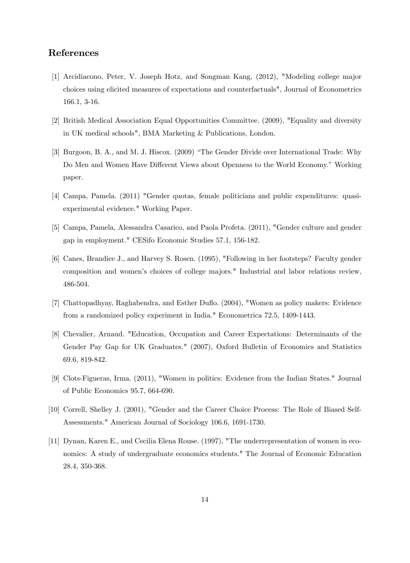### References

- [1] Arcidiacono, Peter, V. Joseph Hotz, and Songman Kang, (2012), "Modeling college major choices using elicited measures of expectations and counterfactuals", Journal of Econometrics 166.1, 3-16.
- [2] British Medical Association Equal Opportunities Committee. (2009), "Equality and diversity in UK medical schools", BMA Marketing & Publications, London.
- [3] Burgoon, B. A., and M. J. Hiscox. (2009) "The Gender Divide over International Trade: Why Do Men and Women Have Different Views about Openness to the World Economy." Working paper.
- [4] Campa, Pamela. (2011) "Gender quotas, female politicians and public expenditures: quasiexperimental evidence." Working Paper.
- [5] Campa, Pamela, Alessandra Casarico, and Paola Profeta. (2011), "Gender culture and gender gap in employment." CESifo Economic Studies 57.1, 156-182.
- [6] Canes, Brandice J., and Harvey S. Rosen. (1995), "Following in her footsteps? Faculty gender composition and womenís choices of college majors." Industrial and labor relations review, 486-504.
- [7] Chattopadhyay, Raghabendra, and Esther Duflo. (2004), "Women as policy makers: Evidence from a randomized policy experiment in India." Econometrica 72.5, 1409-1443.
- [8] Chevalier, Arnaud. "Education, Occupation and Career Expectations: Determinants of the Gender Pay Gap for UK Graduates." (2007), Oxford Bulletin of Economics and Statistics 69.6, 819-842.
- [9] Clots-Figueras, Irma. (2011), "Women in politics: Evidence from the Indian States." Journal of Public Economics 95.7, 664-690.
- [10] Correll, Shelley J. (2001), "Gender and the Career Choice Process: The Role of Biased Self-Assessments." American Journal of Sociology 106.6, 1691-1730.
- [11] Dynan, Karen E., and Cecilia Elena Rouse. (1997), "The underrepresentation of women in economics: A study of undergraduate economics students." The Journal of Economic Education 28.4, 350-368.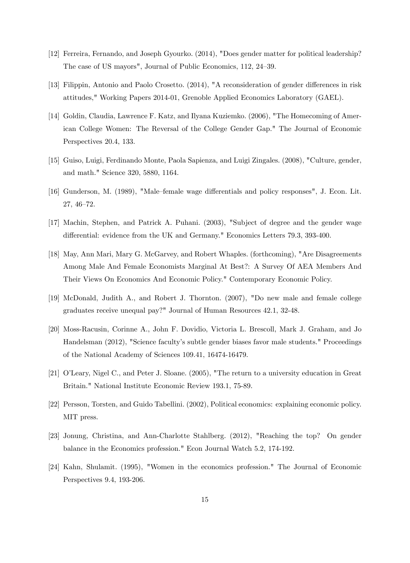- [12] Ferreira, Fernando, and Joseph Gyourko. (2014), "Does gender matter for political leadership? The case of US mayors", Journal of Public Economics, 112, 24–39.
- [13] Filippin, Antonio and Paolo Crosetto. (2014), "A reconsideration of gender differences in risk attitudes," Working Papers 2014-01, Grenoble Applied Economics Laboratory (GAEL).
- [14] Goldin, Claudia, Lawrence F. Katz, and Ilyana Kuziemko. (2006), "The Homecoming of American College Women: The Reversal of the College Gender Gap." The Journal of Economic Perspectives 20.4, 133.
- [15] Guiso, Luigi, Ferdinando Monte, Paola Sapienza, and Luigi Zingales. (2008), "Culture, gender, and math." Science 320, 5880, 1164.
- [16] Gunderson, M. (1989), "Male–female wage differentials and policy responses", J. Econ. Lit.  $27, 46 - 72.$
- [17] Machin, Stephen, and Patrick A. Puhani. (2003), "Subject of degree and the gender wage differential: evidence from the UK and Germany." Economics Letters 79.3, 393-400.
- [18] May, Ann Mari, Mary G. McGarvey, and Robert Whaples. (forthcoming), "Are Disagreements Among Male And Female Economists Marginal At Best?: A Survey Of AEA Members And Their Views On Economics And Economic Policy." Contemporary Economic Policy.
- [19] McDonald, Judith A., and Robert J. Thornton. (2007), "Do new male and female college graduates receive unequal pay?" Journal of Human Resources 42.1, 32-48.
- [20] Moss-Racusin, Corinne A., John F. Dovidio, Victoria L. Brescoll, Mark J. Graham, and Jo Handelsman (2012), "Science facultyís subtle gender biases favor male students." Proceedings of the National Academy of Sciences 109.41, 16474-16479.
- [21] OíLeary, Nigel C., and Peter J. Sloane. (2005), "The return to a university education in Great Britain." National Institute Economic Review 193.1, 75-89.
- [22] Persson, Torsten, and Guido Tabellini. (2002), Political economics: explaining economic policy. MIT press.
- [23] Jonung, Christina, and Ann-Charlotte Stahlberg. (2012), "Reaching the top? On gender balance in the Economics profession." Econ Journal Watch 5.2, 174-192.
- [24] Kahn, Shulamit. (1995), "Women in the economics profession." The Journal of Economic Perspectives 9.4, 193-206.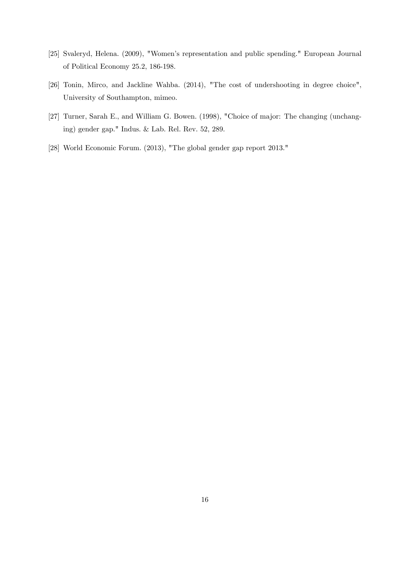- [25] Svaleryd, Helena. (2009), "Women's representation and public spending." European Journal of Political Economy 25.2, 186-198.
- [26] Tonin, Mirco, and Jackline Wahba. (2014), "The cost of undershooting in degree choice", University of Southampton, mimeo.
- [27] Turner, Sarah E., and William G. Bowen. (1998), "Choice of major: The changing (unchanging) gender gap." Indus. & Lab. Rel. Rev. 52, 289.
- [28] World Economic Forum. (2013), "The global gender gap report 2013."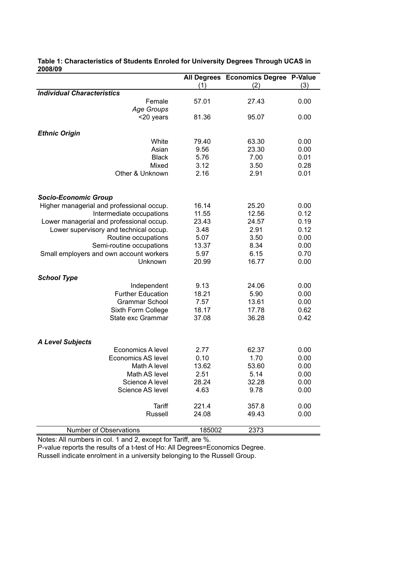| ZUUUIUJ                                   |        | All Degrees Economics Degree P-Value |      |
|-------------------------------------------|--------|--------------------------------------|------|
|                                           | (1)    | (2)                                  | (3)  |
| <b>Individual Characteristics</b>         |        |                                      |      |
| Female                                    | 57.01  | 27.43                                | 0.00 |
| Age Groups                                |        |                                      |      |
| <20 years                                 | 81.36  | 95.07                                | 0.00 |
|                                           |        |                                      |      |
| <b>Ethnic Origin</b>                      |        |                                      |      |
| White                                     | 79.40  | 63.30                                | 0.00 |
| Asian                                     | 9.56   | 23.30                                | 0.00 |
| <b>Black</b>                              | 5.76   | 7.00                                 | 0.01 |
| Mixed                                     | 3.12   | 3.50                                 | 0.28 |
| Other & Unknown                           | 2.16   | 2.91                                 | 0.01 |
|                                           |        |                                      |      |
|                                           |        |                                      |      |
| <b>Socio-Economic Group</b>               |        |                                      |      |
| Higher managerial and professional occup. | 16.14  | 25.20                                | 0.00 |
| Intermediate occupations                  | 11.55  | 12.56                                | 0.12 |
| Lower managerial and professional occup.  | 23.43  | 24.57                                | 0.19 |
| Lower supervisory and technical occup.    | 3.48   | 2.91                                 | 0.12 |
| Routine occupations                       | 5.07   | 3.50                                 | 0.00 |
| Semi-routine occupations                  | 13.37  | 8.34                                 | 0.00 |
|                                           | 5.97   | 6.15                                 | 0.70 |
| Small employers and own account workers   |        |                                      |      |
| Unknown                                   | 20.99  | 16.77                                | 0.00 |
| <b>School Type</b>                        |        |                                      |      |
| Independent                               | 9.13   | 24.06                                | 0.00 |
| <b>Further Education</b>                  | 18.21  | 5.90                                 | 0.00 |
| <b>Grammar School</b>                     | 7.57   | 13.61                                | 0.00 |
| Sixth Form College                        | 18.17  | 17.78                                | 0.62 |
| State exc Grammar                         | 37.08  | 36.28                                | 0.42 |
|                                           |        |                                      |      |
|                                           |        |                                      |      |
| <b>A Level Subjects</b>                   |        |                                      |      |
| <b>Economics A level</b>                  | 2.77   | 62.37                                | 0.00 |
| Economics AS level                        | 0.10   | 1.70                                 | 0.00 |
| Math A level                              | 13.62  | 53.60                                | 0.00 |
| Math AS level                             | 2.51   | 5.14                                 | 0.00 |
| Science A level                           | 28.24  | 32.28                                | 0.00 |
| Science AS level                          | 4.63   | 9.78                                 | 0.00 |
|                                           |        |                                      |      |
| Tariff                                    | 221.4  | 357.8                                | 0.00 |
| Russell                                   | 24.08  | 49.43                                | 0.00 |
|                                           |        |                                      |      |
| Number of Observations                    | 185002 | 2373                                 |      |

#### **Table 1: Characteristics of Students Enroled for University Degrees Through UCAS in 2008/09**

Notes: All numbers in col. 1 and 2, except for Tariff, are %.

P-value reports the results of a t-test of Ho: All Degrees=Economics Degree.

Russell indicate enrolment in a university belonging to the Russell Group.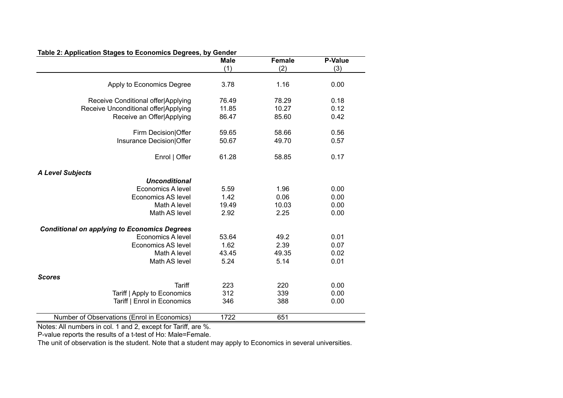| Table 2: Application Stages to Economics Degrees, by Gender | Male  | <b>Female</b> | <b>P-Value</b> |
|-------------------------------------------------------------|-------|---------------|----------------|
|                                                             | (1)   | (2)           | (3)            |
| Apply to Economics Degree                                   | 3.78  | 1.16          | 0.00           |
|                                                             |       |               |                |
| Receive Conditional offer Applying                          | 76.49 | 78.29         | 0.18           |
| Receive Unconditional offer Applying                        | 11.85 | 10.27         | 0.12           |
| Receive an Offer Applying                                   | 86.47 | 85.60         | 0.42           |
| Firm Decision Offer                                         | 59.65 | 58.66         | 0.56           |
| Insurance Decision Offer                                    | 50.67 | 49.70         | 0.57           |
| Enrol   Offer                                               | 61.28 | 58.85         | 0.17           |
| <b>A Level Subjects</b>                                     |       |               |                |
| <b>Unconditional</b>                                        |       |               |                |
| Economics A level                                           | 5.59  | 1.96          | 0.00           |
| <b>Economics AS level</b>                                   | 1.42  | 0.06          | 0.00           |
| Math A level                                                | 19.49 | 10.03         | 0.00           |
| Math AS level                                               | 2.92  | 2.25          | 0.00           |
| <b>Conditional on applying to Economics Degrees</b>         |       |               |                |
| Economics A level                                           | 53.64 | 49.2          | 0.01           |
| <b>Economics AS level</b>                                   | 1.62  | 2.39          | 0.07           |
| Math A level                                                | 43.45 | 49.35         | 0.02           |
| Math AS level                                               | 5.24  | 5.14          | 0.01           |
| <b>Scores</b>                                               |       |               |                |
| <b>Tariff</b>                                               | 223   | 220           | 0.00           |
| Tariff   Apply to Economics                                 | 312   | 339           | 0.00           |
| Tariff   Enrol in Economics                                 | 346   | 388           | 0.00           |
| Number of Observations (Enrol in Economics)                 | 1722  | 651           |                |

**Table 2: Application Stages to Economics Degrees, by Gender**

Notes: All numbers in col. 1 and 2, except for Tariff, are %.

P-value reports the results of a t-test of Ho: Male=Female.

The unit of observation is the student. Note that a student may apply to Economics in several universities.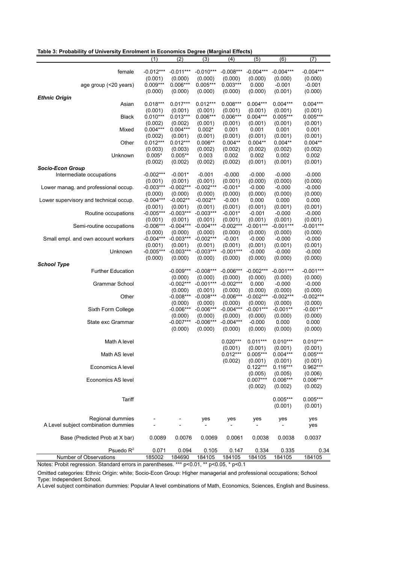| Table 3: Probability of University Enrolment in Economics Degree (Marginal Effects) |  |  |  |  |
|-------------------------------------------------------------------------------------|--|--|--|--|
|-------------------------------------------------------------------------------------|--|--|--|--|

|                                        | (1)                   | (2)         | (3)                    | (4)              | (5)              | (6)              | (7)         |
|----------------------------------------|-----------------------|-------------|------------------------|------------------|------------------|------------------|-------------|
|                                        |                       |             |                        |                  |                  |                  |             |
| female                                 | $-0.012***$           | $-0.011***$ | $-0.010***$            | $-0.008***$      | $-0.004***$      | $-0.004***$      | $-0.004***$ |
|                                        | (0.001)               | (0.000)     | (0.000)                | (0.000)          | (0.000)          | (0.000)          | (0.000)     |
| age group (<20 years)                  | $0.009***$            | $0.006***$  | $0.005***$             | $0.003***$       | 0.000            | $-0.001$         | $-0.001$    |
|                                        | (0.000)               | (0.000)     | (0.000)                | (0.000)          | (0.000)          | (0.001)          | (0.000)     |
| <b>Ethnic Origin</b>                   |                       |             |                        |                  |                  |                  |             |
| Asian                                  | $0.018***$            | $0.017***$  | $0.012***$             | $0.008***$       | $0.004***$       | $0.004***$       | $0.004***$  |
|                                        | (0.001)               | (0.001)     | (0.001)                | (0.001)          | (0.001)          | (0.001)          | (0.001)     |
| <b>Black</b>                           | $0.010***$            | $0.013***$  | $0.006***$             | $0.006***$       | $0.004***$       | $0.005***$       | $0.005***$  |
|                                        |                       | (0.002)     |                        |                  |                  |                  | (0.001)     |
| Mixed                                  | (0.002)<br>$0.004***$ | $0.004***$  | (0.001)<br>$0.002*$    | (0.001)<br>0.001 | (0.001)<br>0.001 | (0.001)<br>0.001 | 0.001       |
|                                        |                       |             |                        |                  |                  |                  |             |
|                                        | (0.002)               | (0.001)     | (0.001)                | (0.001)          | (0.001)          | (0.001)          | (0.001)     |
| Other                                  | $0.012***$            | $0.012***$  | $0.006**$              | $0.004**$        | $0.004**$        | $0.004**$        | $0.004**$   |
|                                        | (0.003)               | (0.003)     | (0.002)                | (0.002)          | (0.002)          | (0.002)          | (0.002)     |
| Unknown                                | $0.005*$              | $0.005**$   | 0.003                  | 0.002            | 0.002            | 0.002            | 0.002       |
|                                        | (0.002)               | (0.002)     | (0.002)                | (0.002)          | (0.001)          | (0.001)          | (0.001)     |
| <b>Socio-Econ Group</b>                |                       |             |                        |                  |                  |                  |             |
| Intermediate occupations               | $-0.002***$           | $-0.001*$   | $-0.001$               | $-0.000$         | $-0.000$         | $-0.000$         | $-0.000$    |
|                                        | (0.001)               | (0.001)     | (0.001)                | (0.001)          | (0.000)          | (0.000)          | (0.000)     |
| Lower manag. and professional occup.   | $-0.003***$           | $-0.002***$ | $-0.002***$            | $-0.001*$        | $-0.000$         | $-0.000$         | $-0.000$    |
|                                        | (0.000)               | (0.000)     | (0.000)                | (0.000)          | (0.000)          | (0.000)          | (0.000)     |
| Lower supervisory and technical occup. | $-0.004***$           | $-0.002**$  | $-0.002**$             | $-0.001$         | 0.000            | 0.000            | 0.000       |
|                                        | (0.001)               | (0.001)     | (0.001)                | (0.001)          | (0.001)          | (0.001)          | (0.001)     |
| Routine occupations                    | $-0.005***$           | $-0.003***$ | $-0.003***$            | $-0.001*$        | $-0.001$         | $-0.000$         | $-0.000$    |
|                                        | (0.001)               | (0.001)     | (0.001)                | (0.001)          | (0.001)          | (0.001)          | (0.001)     |
| Semi-routine occupations               | $-0.006***$           | $-0.004***$ | $-0.004***$            | $-0.002***$      | $-0.001***$      | $-0.001***$      | $-0.001***$ |
|                                        | (0.000)               | (0.000)     | (0.000)                | (0.000)          | (0.000)          | (0.000)          | (0.000)     |
| Small empl. and own account workers    | $-0.004***$           | $-0.003***$ | $-0.002***$            | $-0.001$         | $-0.000$         | $-0.000$         | $-0.000$    |
|                                        | (0.001)               | (0.001)     |                        | (0.001)          | (0.001)          | (0.001)          | (0.001)     |
| Unknown                                | $-0.005***$           | $-0.003***$ | (0.001)<br>$-0.003***$ | $-0.001***$      | $-0.000$         | $-0.000$         | $-0.000$    |
|                                        |                       |             |                        |                  |                  |                  |             |
|                                        | (0.000)               | (0.000)     | (0.000)                | (0.000)          | (0.000)          | (0.000)          | (0.000)     |
| <b>School Type</b>                     |                       |             |                        |                  |                  |                  |             |
| <b>Further Education</b>               |                       | $-0.009***$ | $-0.008***$            | $-0.006***$      | $-0.002***$      | $-0.001***$      | $-0.001***$ |
|                                        |                       | (0.000)     | (0.000)                | (0.000)          | (0.000)          | (0.000)          | (0.000)     |
| <b>Grammar School</b>                  |                       | $-0.002***$ | $-0.001***$            | $-0.002***$      | 0.000            | $-0.000$         | $-0.000$    |
|                                        |                       | (0.000)     | (0.001)                | (0.000)          | (0.000)          | (0.000)          | (0.000)     |
| Other                                  |                       | $-0.008***$ | $-0.008***$            | $-0.006***$      | $-0.002***$      | $-0.002***$      | $-0.002***$ |
|                                        |                       | (0.000)     | (0.000)                | (0.000)          | (0.000)          | (0.000)          | (0.000)     |
| Sixth Form College                     |                       | $-0.006***$ | $-0.006***$            | $-0.004***$      | $-0.001***$      | $-0.001**$       | $-0.001**$  |
|                                        |                       | (0.000)     | (0.000)                | (0.000)          | (0.000)          | (0.000)          | (0.000)     |
| State exc Grammar                      |                       | $-0.007***$ | $-0.006***$            | $-0.004***$      | $-0.000$         | 0.000            | 0.000       |
|                                        |                       | (0.000)     | (0.000)                | (0.000)          | (0.000)          | (0.000)          | (0.000)     |
|                                        |                       |             |                        |                  |                  |                  |             |
| Math A level                           |                       |             |                        | $0.020***$       | $0.011***$       | $0.010***$       | $0.010***$  |
|                                        |                       |             |                        | (0.001)          | (0.001)          | (0.001)          | (0.001)     |
| Math AS level                          |                       |             |                        | $0.012***$       | $0.005***$       | $0.004***$       | $0.005***$  |
|                                        |                       |             |                        | (0.002)          | (0.001)          | (0.001)          | (0.001)     |
| Economics A level                      |                       |             |                        |                  | $0.122***$       | $0.116***$       | $0.962***$  |
|                                        |                       |             |                        |                  | (0.005)          | (0.005)          | (0.006)     |
| Economics AS level                     |                       |             |                        |                  | $0.007***$       | $0.006***$       | $0.006***$  |
|                                        |                       |             |                        |                  | (0.002)          | (0.002)          | (0.002)     |
|                                        |                       |             |                        |                  |                  |                  |             |
|                                        |                       |             |                        |                  |                  | $0.005***$       | $0.005***$  |
| Tariff                                 |                       |             |                        |                  |                  |                  |             |
|                                        |                       |             |                        |                  |                  | (0.001)          | (0.001)     |
|                                        |                       |             |                        |                  |                  |                  |             |
| Regional dummies                       |                       |             | yes                    | yes              | yes              | yes              | yes         |
| A Level subject combination dummies    |                       |             |                        |                  |                  |                  | yes         |
|                                        |                       |             |                        |                  |                  |                  |             |
| Base (Predicted Prob at X bar)         | 0.0089                | 0.0076      | 0.0069                 | 0.0061           | 0.0038           | 0.0038           | 0.0037      |
|                                        |                       |             |                        |                  |                  |                  |             |
| Psuedo $R^2$                           | 0.071                 | 0.094       | 0.105                  | 0.147            | 0.334            | 0.335            | 0.34        |
| Number of Observations                 | 185002                | 184690      | 184105                 | 184105           | 184105           | 184105           | 184105      |

Notes: Probit regression. Standard errors in parentheses. \*\*\* p<0.01, \*\* p<0.05, \* p<0.1

Omitted categories: Ethnic Origin: white; Socio-Econ Group: Higher managerial and professional occupations; School Type: Independent School.

A Level subject combination dummies: Popular A level combinations of Math, Economics, Sciences, English and Business.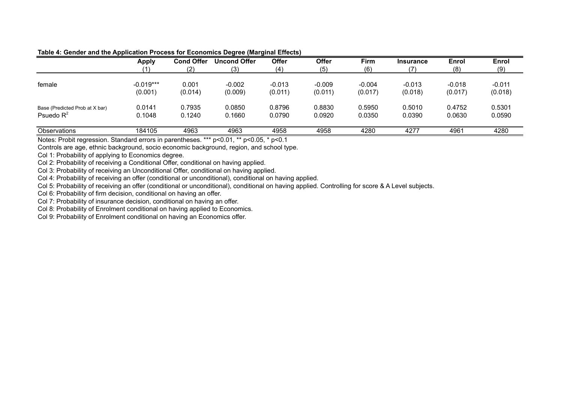|                                                | <b>Apply</b>           | <b>Cond Offer</b> | <b>Uncond Offer</b> | <b>Offer</b>        | <b>Offer</b>        | Firm                | <b>Insurance</b>    | Enrol               | Enrol               |
|------------------------------------------------|------------------------|-------------------|---------------------|---------------------|---------------------|---------------------|---------------------|---------------------|---------------------|
|                                                |                        | (2)               | (3)                 | (4)                 | (5)                 | (6)                 | (7                  | (8)                 | (9)                 |
| female                                         | $-0.019***$<br>(0.001) | 0.001<br>(0.014)  | $-0.002$<br>(0.009) | $-0.013$<br>(0.011) | $-0.009$<br>(0.011) | $-0.004$<br>(0.017) | $-0.013$<br>(0.018) | $-0.018$<br>(0.017) | $-0.011$<br>(0.018) |
| Base (Predicted Prob at X bar)<br>Psuedo $R^2$ | 0.0141<br>0.1048       | 0.7935<br>0.1240  | 0.0850<br>0.1660    | 0.8796<br>0.0790    | 0.8830<br>0.0920    | 0.5950<br>0.0350    | 0.5010<br>0.0390    | 0.4752<br>0.0630    | 0.5301<br>0.0590    |
| Observations                                   | 184105                 | 4963              | 4963                | 4958                | 4958                | 4280                | 4277                | 4961                | 4280                |

#### **Table 4: Gender and the Application Process for Economics Degree (Marginal Effects)**

Notes: Probit regression. Standard errors in parentheses. \*\*\* p<0.01, \*\* p<0.05, \* p<0.1

Controls are age, ethnic background, socio economic background, region, and school type.

Col 1: Probability of applying to Economics degree.

Col 2: Probability of receiving a Conditional Offer, conditional on having applied.

Col 3: Probability of receiving an Unconditional Offer, conditional on having applied.

Col 4: Probability of receiving an offer (conditional or unconditional), conditional on having applied.

Col 5: Probability of receiving an offer (conditional or unconditional), conditional on having applied. Controlling for score & A Level subjects.

Col 6: Probability of firm decision, conditional on having an offer.

Col 7: Probability of insurance decision, conditional on having an offer.

Col 8: Probability of Enrolment conditional on having applied to Economics.

Col 9: Probability of Enrolment conditional on having an Economics offer.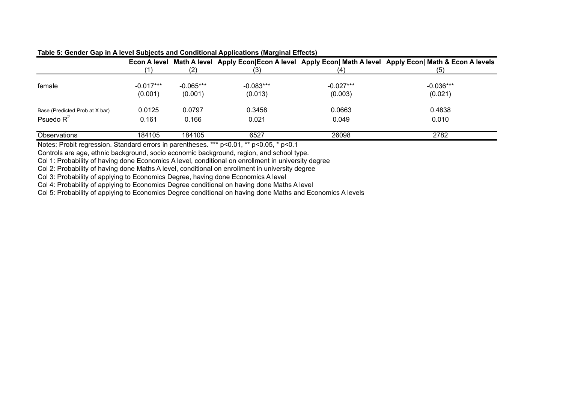|                                |                        |                        |                                                                                                                                                |                        | Econ A level Math A level Apply Econ Econ A level Apply Econ  Math A level Apply Econ  Math & Econ A levels |
|--------------------------------|------------------------|------------------------|------------------------------------------------------------------------------------------------------------------------------------------------|------------------------|-------------------------------------------------------------------------------------------------------------|
|                                |                        |                        | (3)                                                                                                                                            | (4                     | (5)                                                                                                         |
| female                         | $-0.017***$<br>(0.001) | $-0.065***$<br>(0.001) | $-0.083***$<br>(0.013)                                                                                                                         | $-0.027***$<br>(0.003) | $-0.036***$<br>(0.021)                                                                                      |
| Base (Predicted Prob at X bar) | 0.0125                 | 0.0797                 | 0.3458                                                                                                                                         | 0.0663                 | 0.4838                                                                                                      |
| Psuedo $R^2$                   | 0.161                  | 0.166                  | 0.021                                                                                                                                          | 0.049                  | 0.010                                                                                                       |
| Observations                   | 184105                 | 184105                 | 6527                                                                                                                                           | 26098                  | 2782                                                                                                        |
| $\mathbf{r}$<br>$\sim$         |                        |                        | والمتعاوض والمراجع<br>$\begin{array}{cccc}\n\bullet & \bullet & \bullet & \bullet & \bullet & \bullet & \bullet & \bullet\n\end{array}$<br>- - |                        |                                                                                                             |

|  |  | Table 5: Gender Gap in A level Subjects and Conditional Applications (Marginal Effects) |  |
|--|--|-----------------------------------------------------------------------------------------|--|
|--|--|-----------------------------------------------------------------------------------------|--|

Notes: Probit regression. Standard errors in parentheses. \*\*\* p<0.01, \*\* p<0.05, \* p<0.1

Controls are age, ethnic background, socio economic background, region, and school type.

Col 1: Probability of having done Economics A level, conditional on enrollment in university degree

Col 2: Probability of having done Maths A level, conditional on enrollment in university degree

Col 3: Probability of applying to Economics Degree, having done Economics A level

Col 4: Probability of applying to Economics Degree conditional on having done Maths A level

Col 5: Probability of applying to Economics Degree conditional on having done Maths and Economics A levels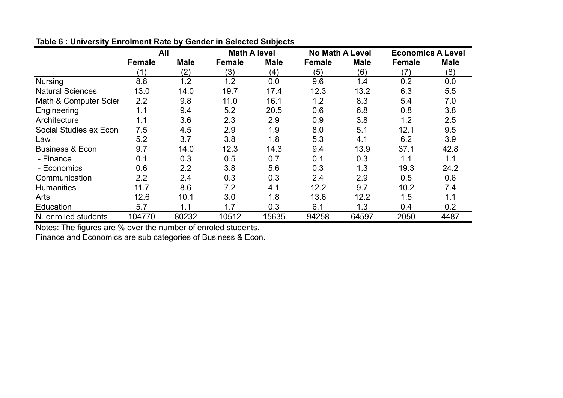|                            | All           |             | <b>Math A level</b> |             | <b>No Math A Level</b> |             | <b>Economics A Level</b> |             |  |
|----------------------------|---------------|-------------|---------------------|-------------|------------------------|-------------|--------------------------|-------------|--|
|                            | <b>Female</b> | <b>Male</b> | <b>Female</b>       | <b>Male</b> | <b>Female</b>          | <b>Male</b> | <b>Female</b>            | <b>Male</b> |  |
|                            | (1)           | (2)         | (3)                 | (4)         | (5)                    | (6)         | (7)                      | (8)         |  |
| <b>Nursing</b>             | 8.8           | 1.2         | 1.2                 | 0.0         | 9.6                    | 1.4         | 0.2                      | 0.0         |  |
| <b>Natural Sciences</b>    | 13.0          | 14.0        | 19.7                | 17.4        | 12.3                   | 13.2        | 6.3                      | 5.5         |  |
| Math & Computer Scier      | 2.2           | 9.8         | 11.0                | 16.1        | 1.2                    | 8.3         | 5.4                      | 7.0         |  |
| Engineering                | 1.1           | 9.4         | 5.2                 | 20.5        | 0.6                    | 6.8         | 0.8                      | 3.8         |  |
| Architecture               | 1.1           | 3.6         | 2.3                 | 2.9         | 0.9                    | 3.8         | 1.2                      | 2.5         |  |
| Social Studies ex Econ     | 7.5           | 4.5         | 2.9                 | 1.9         | 8.0                    | 5.1         | 12.1                     | 9.5         |  |
| Law                        | 5.2           | 3.7         | 3.8                 | 1.8         | 5.3                    | 4.1         | 6.2                      | 3.9         |  |
| <b>Business &amp; Econ</b> | 9.7           | 14.0        | 12.3                | 14.3        | 9.4                    | 13.9        | 37.1                     | 42.8        |  |
| - Finance                  | 0.1           | 0.3         | 0.5                 | 0.7         | 0.1                    | 0.3         | 1.1                      | 1.1         |  |
| - Economics                | 0.6           | 2.2         | 3.8                 | 5.6         | 0.3                    | 1.3         | 19.3                     | 24.2        |  |
| Communication              | 2.2           | 2.4         | 0.3                 | 0.3         | 2.4                    | 2.9         | 0.5                      | 0.6         |  |
| <b>Humanities</b>          | 11.7          | 8.6         | 7.2                 | 4.1         | 12.2                   | 9.7         | 10.2                     | 7.4         |  |
| Arts                       | 12.6          | 10.1        | 3.0                 | 1.8         | 13.6                   | 12.2        | 1.5                      | 1.1         |  |
| Education                  | 5.7           | 1.1         | 1.7                 | 0.3         | 6.1                    | 1.3         | 0.4                      | 0.2         |  |
| N. enrolled students       | 104770        | 80232       | 10512               | 15635       | 94258                  | 64597       | 2050                     | 4487        |  |

**Table 6 : University Enrolment Rate by Gender in Selected Subjects**

Notes: The figures are % over the number of enroled students.

Finance and Economics are sub categories of Business & Econ.